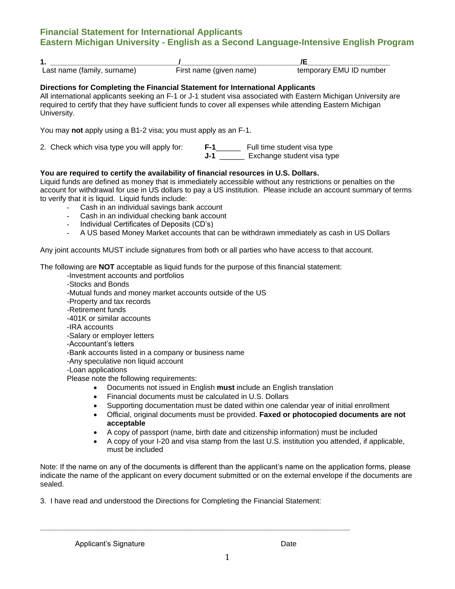# **Financial Statement for International Applicants Eastern Michigan University - English as a Second Language-Intensive English Program**

| . .                         |                         |                         |
|-----------------------------|-------------------------|-------------------------|
| Last name (family, surname) | First name (given name) | temporary EMU ID number |

#### **Directions for Completing the Financial Statement for International Applicants**

All international applicants seeking an F-1 or J-1 student visa associated with Eastern Michigan University are required to certify that they have sufficient funds to cover all expenses while attending Eastern Michigan University.

You may **not** apply using a B1-2 visa; you must apply as an F-1.

2. Check which visa type you will apply for: **F-1**\_\_\_\_\_\_ Full time student visa type **J-1** \_\_\_\_\_\_\_ Exchange student visa type

### **You are required to certify the availability of financial resources in U.S. Dollars.**

Liquid funds are defined as money that is immediately accessible without any restrictions or penalties on the account for withdrawal for use in US dollars to pay a US institution. Please include an account summary of terms to verify that it is liquid. Liquid funds include:

- Cash in an individual savings bank account
- Cash in an individual checking bank account
- Individual Certificates of Deposits (CD's)
- A US based Money Market accounts that can be withdrawn immediately as cash in US Dollars

Any joint accounts MUST include signatures from both or all parties who have access to that account.

The following are **NOT** acceptable as liquid funds for the purpose of this financial statement:

- -Investment accounts and portfolios
- -Stocks and Bonds

-Mutual funds and money market accounts outside of the US

- -Property and tax records
- -Retirement funds

-401K or similar accounts

- -IRA accounts
- -Salary or employer letters
- -Accountant's letters
- -Bank accounts listed in a company or business name
- -Any speculative non liquid account
- -Loan applications

Please note the following requirements:

- Documents not issued in English **must** include an English translation
- Financial documents must be calculated in U.S. Dollars
- Supporting documentation must be dated within one calendar year of initial enrollment
- Official, original documents must be provided. **Faxed or photocopied documents are not acceptable**
- A copy of passport (name, birth date and citizenship information) must be included
- A copy of your I-20 and visa stamp from the last U.S. institution you attended, if applicable, must be included

Note: If the name on any of the documents is different than the applicant's name on the application forms, please indicate the name of the applicant on every document submitted or on the external envelope if the documents are sealed.

3. I have read and understood the Directions for Completing the Financial Statement:

**\_\_\_\_\_\_\_\_\_\_\_\_\_\_\_\_\_\_\_\_\_\_\_\_\_\_\_\_\_\_\_\_\_\_\_\_\_\_\_\_\_\_\_\_\_\_\_\_\_\_\_\_\_\_\_\_\_\_\_\_\_\_\_\_\_\_\_\_\_\_\_\_\_\_\_**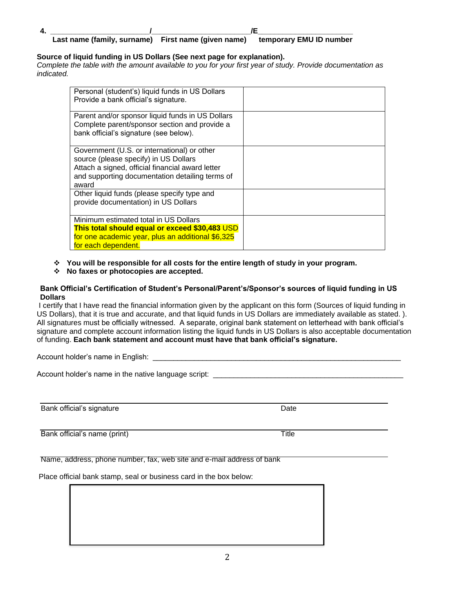#### **4. \_\_\_\_\_\_\_\_\_\_\_\_\_\_\_\_\_\_\_\_\_\_\_\_/\_\_\_\_\_\_\_\_\_\_\_\_\_\_\_\_\_\_\_\_\_\_\_\_/E\_\_\_\_\_\_\_\_\_\_\_\_\_\_\_\_\_\_\_\_\_\_\_** Last name (family, surname) First name (given name) temporary EMU ID number

## **Source of liquid funding in US Dollars (See next page for explanation).**

*Complete the table with the amount available to you for your first year of study. Provide documentation as indicated.*

| Personal (student's) liquid funds in US Dollars<br>Provide a bank official's signature.                                                                                                              |  |
|------------------------------------------------------------------------------------------------------------------------------------------------------------------------------------------------------|--|
| Parent and/or sponsor liquid funds in US Dollars<br>Complete parent/sponsor section and provide a<br>bank official's signature (see below).                                                          |  |
| Government (U.S. or international) or other<br>source (please specify) in US Dollars<br>Attach a signed, official financial award letter<br>and supporting documentation detailing terms of<br>award |  |
| Other liquid funds (please specify type and<br>provide documentation) in US Dollars                                                                                                                  |  |
| Minimum estimated total in US Dollars<br>This total should equal or exceed \$30,483 USD<br>for one academic year, plus an additional \$6,325<br>for each dependent.                                  |  |

### **You will be responsible for all costs for the entire length of study in your program.**

### **No faxes or photocopies are accepted.**

#### **Bank Official's Certification of Student's Personal/Parent's/Sponsor's sources of liquid funding in US Dollars**

I certify that I have read the financial information given by the applicant on this form (Sources of liquid funding in US Dollars), that it is true and accurate, and that liquid funds in US Dollars are immediately available as stated. ). All signatures must be officially witnessed. A separate, original bank statement on letterhead with bank official's signature and complete account information listing the liquid funds in US Dollars is also acceptable documentation of funding. **Each bank statement and account must have that bank official's signature.**

Account holder's name in English:

Account holder's name in the native language script: \_\_\_\_\_\_\_\_\_\_\_\_\_\_\_\_\_\_\_\_\_\_\_\_\_\_\_

Bank official's signature Date Date Date Date

Bank official's name (print) Title

Name, address, phone number, fax, web site and e-mail address of bank

Place official bank stamp, seal or business card in the box below: